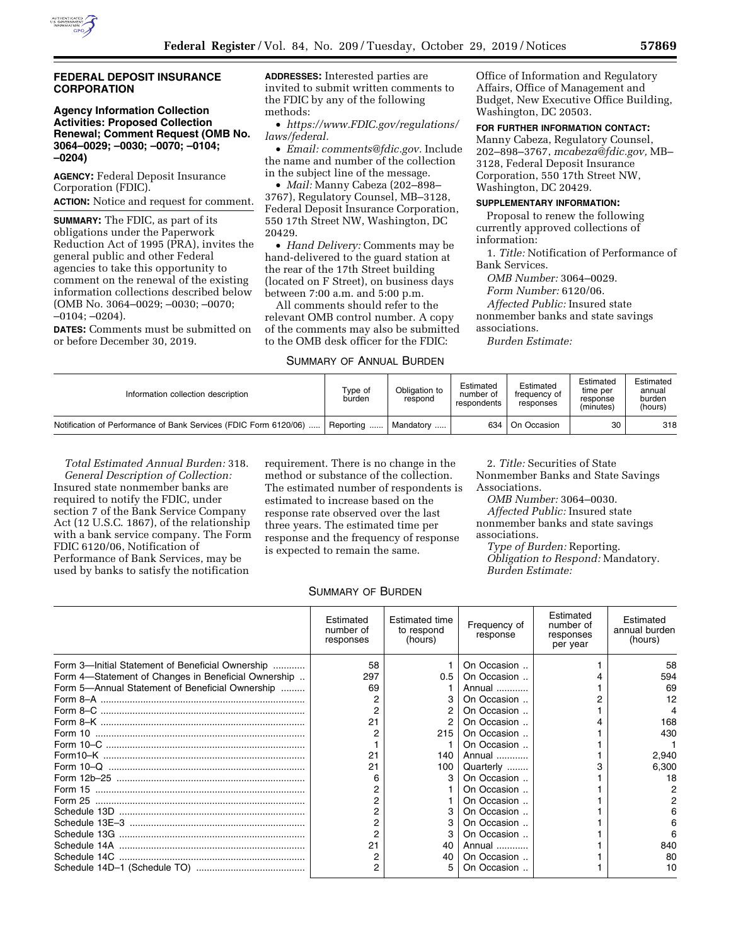

### **FEDERAL DEPOSIT INSURANCE CORPORATION**

## **Agency Information Collection Activities: Proposed Collection Renewal; Comment Request (OMB No. 3064–0029; –0030; –0070; –0104; –0204)**

**AGENCY:** Federal Deposit Insurance Corporation (FDIC). **ACTION:** Notice and request for comment.

**SUMMARY:** The FDIC, as part of its obligations under the Paperwork Reduction Act of 1995 (PRA), invites the general public and other Federal agencies to take this opportunity to comment on the renewal of the existing information collections described below (OMB No. 3064–0029; –0030; –0070; –0104; –0204).

**DATES:** Comments must be submitted on or before December 30, 2019.

**ADDRESSES:** Interested parties are invited to submit written comments to the FDIC by any of the following methods:

• *[https://www.FDIC.gov/regulations/](https://www.FDIC.gov/regulations/laws/federal) [laws/federal.](https://www.FDIC.gov/regulations/laws/federal)* 

• *Email: [comments@fdic.gov.](mailto:comments@fdic.gov)* Include the name and number of the collection in the subject line of the message.

• *Mail:* Manny Cabeza (202–898– 3767), Regulatory Counsel, MB–3128, Federal Deposit Insurance Corporation, 550 17th Street NW, Washington, DC 20429.

• *Hand Delivery:* Comments may be hand-delivered to the guard station at the rear of the 17th Street building (located on F Street), on business days between 7:00 a.m. and 5:00 p.m.

All comments should refer to the relevant OMB control number. A copy of the comments may also be submitted to the OMB desk officer for the FDIC:

# SUMMARY OF ANNUAL BURDEN

Office of Information and Regulatory Affairs, Office of Management and Budget, New Executive Office Building, Washington, DC 20503.

# **FOR FURTHER INFORMATION CONTACT:**

Manny Cabeza, Regulatory Counsel, 202–898–3767, *[mcabeza@fdic.gov,](mailto:mcabeza@fdic.gov)* MB– 3128, Federal Deposit Insurance Corporation, 550 17th Street NW, Washington, DC 20429.

# **SUPPLEMENTARY INFORMATION:**

Proposal to renew the following currently approved collections of information:

1. *Title:* Notification of Performance of Bank Services.

*OMB Number:* 3064–0029.

*Form Number:* 6120/06.

*Affected Public:* Insured state

nonmember banks and state savings associations.

*Burden Estimate:* 

| Information collection description                               | Type of<br>burden | Obligation to<br>respond | Estimated<br>number of<br>respondents | Estimated<br>frequency of<br>responses | Estimated<br>time per<br>response<br>(minutes) | Estimated<br>annual<br>burden<br>(hours) |
|------------------------------------------------------------------|-------------------|--------------------------|---------------------------------------|----------------------------------------|------------------------------------------------|------------------------------------------|
| Notification of Performance of Bank Services (FDIC Form 6120/06) | Reporting         | Mandatory                | 634                                   | On Occasion                            | 30                                             | 318                                      |

*Total Estimated Annual Burden:* 318. *General Description of Collection:*  Insured state nonmember banks are required to notify the FDIC, under section 7 of the Bank Service Company Act (12 U.S.C. 1867), of the relationship with a bank service company. The Form FDIC 6120/06, Notification of Performance of Bank Services, may be used by banks to satisfy the notification

requirement. There is no change in the method or substance of the collection. The estimated number of respondents is estimated to increase based on the response rate observed over the last three years. The estimated time per response and the frequency of response is expected to remain the same.

2. *Title:* Securities of State Nonmember Banks and State Savings Associations.

*OMB Number:* 3064–0030.

*Affected Public:* Insured state nonmember banks and state savings associations.

*Type of Burden:* Reporting.

*Obligation to Respond:* Mandatory. *Burden Estimate:* 

# SUMMARY OF BURDEN

|                                                     | Estimated<br>number of<br>responses | <b>Estimated time</b><br>to respond<br>(hours) | Frequency of<br>response | Estimated<br>number of<br>responses<br>per year | Estimated<br>annual burden<br>(hours) |
|-----------------------------------------------------|-------------------------------------|------------------------------------------------|--------------------------|-------------------------------------------------|---------------------------------------|
| Form 3-Initial Statement of Beneficial Ownership    | 58                                  |                                                | On Occasion              |                                                 | 58                                    |
| Form 4-Statement of Changes in Beneficial Ownership | 297                                 | 0.5                                            | On Occasion              |                                                 | 594                                   |
| Form 5-Annual Statement of Beneficial Ownership     | 69                                  |                                                | Annual                   |                                                 | 69                                    |
|                                                     |                                     |                                                | On Occasion              |                                                 | 12                                    |
|                                                     | 2                                   |                                                | On Occasion              |                                                 |                                       |
|                                                     | 21                                  | 2                                              | On Occasion              |                                                 | 168                                   |
|                                                     |                                     | 215                                            | On Occasion              |                                                 | 430                                   |
|                                                     |                                     |                                                | On Occasion              |                                                 |                                       |
|                                                     | 21                                  | 140                                            | Annual                   |                                                 | 2,940                                 |
|                                                     | 21                                  | 100                                            | Quarterly                |                                                 | 6,300                                 |
|                                                     | 6                                   | з                                              | On Occasion              |                                                 | 18                                    |
|                                                     |                                     |                                                | On Occasion              |                                                 |                                       |
|                                                     | 2                                   |                                                | On Occasion              |                                                 |                                       |
|                                                     | 2                                   |                                                | On Occasion              |                                                 |                                       |
|                                                     | 2                                   |                                                | On Occasion              |                                                 | 6                                     |
|                                                     |                                     |                                                | On Occasion              |                                                 |                                       |
|                                                     | 21                                  | 40                                             | Annual                   |                                                 | 840                                   |
|                                                     |                                     | 40                                             | On Occasion              |                                                 | 80                                    |
|                                                     | 2                                   | 5                                              | On Occasion              |                                                 | 10                                    |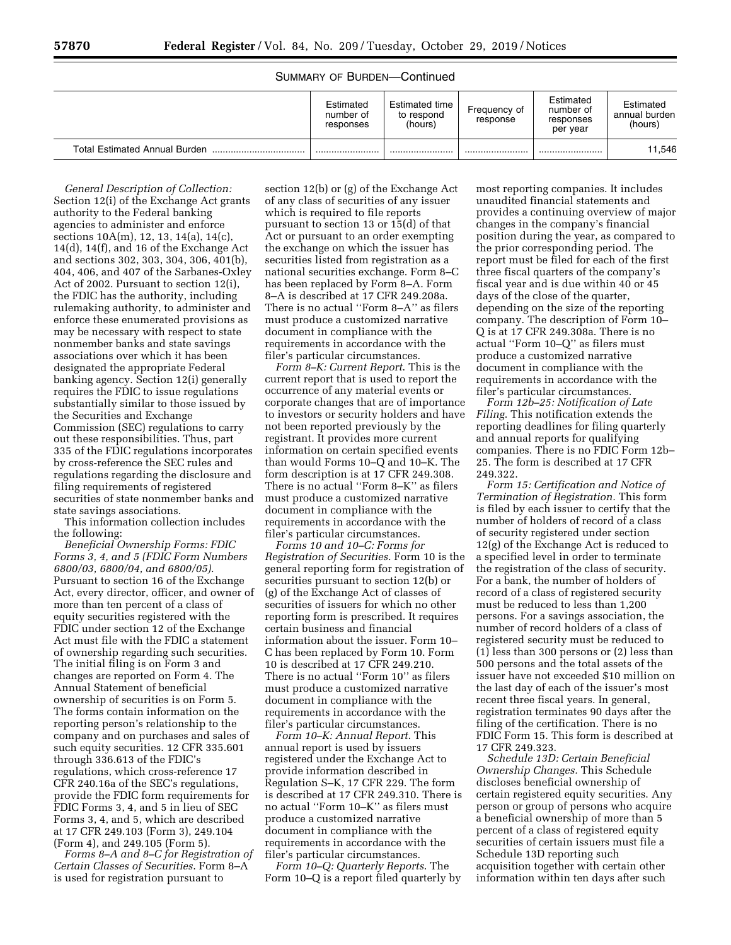## SUMMARY OF BURDEN—Continued

|                                      | Estimated<br>number of<br>responses | Estimated time<br>to respond<br>(hours) | Frequency of<br>response | Estimated<br>number of<br>responses<br>per year | Estimated<br>annual burden<br>(hours) |
|--------------------------------------|-------------------------------------|-----------------------------------------|--------------------------|-------------------------------------------------|---------------------------------------|
| <b>Total Estimated Annual Burden</b> |                                     |                                         |                          |                                                 | 11.546                                |

*General Description of Collection:*  Section 12(i) of the Exchange Act grants authority to the Federal banking agencies to administer and enforce sections 10A(m), 12, 13, 14(a), 14(c), 14(d), 14(f), and 16 of the Exchange Act and sections 302, 303, 304, 306, 401(b), 404, 406, and 407 of the Sarbanes-Oxley Act of 2002. Pursuant to section 12(i), the FDIC has the authority, including rulemaking authority, to administer and enforce these enumerated provisions as may be necessary with respect to state nonmember banks and state savings associations over which it has been designated the appropriate Federal banking agency. Section 12(i) generally requires the FDIC to issue regulations substantially similar to those issued by the Securities and Exchange Commission (SEC) regulations to carry out these responsibilities. Thus, part 335 of the FDIC regulations incorporates by cross-reference the SEC rules and regulations regarding the disclosure and filing requirements of registered securities of state nonmember banks and state savings associations.

This information collection includes the following:

*Beneficial Ownership Forms: FDIC Forms 3, 4, and 5 (FDIC Form Numbers 6800/03, 6800/04, and 6800/05)*. Pursuant to section 16 of the Exchange Act, every director, officer, and owner of more than ten percent of a class of equity securities registered with the FDIC under section 12 of the Exchange Act must file with the FDIC a statement of ownership regarding such securities. The initial filing is on Form 3 and changes are reported on Form 4. The Annual Statement of beneficial ownership of securities is on Form 5. The forms contain information on the reporting person's relationship to the company and on purchases and sales of such equity securities. 12 CFR 335.601 through 336.613 of the FDIC's regulations, which cross-reference 17 CFR 240.16a of the SEC's regulations, provide the FDIC form requirements for FDIC Forms 3, 4, and 5 in lieu of SEC Forms 3, 4, and 5, which are described at 17 CFR 249.103 (Form 3), 249.104 (Form 4), and 249.105 (Form 5).

*Forms 8–A and 8–C for Registration of Certain Classes of Securities*. Form 8–A is used for registration pursuant to

section 12(b) or (g) of the Exchange Act of any class of securities of any issuer which is required to file reports pursuant to section 13 or 15(d) of that Act or pursuant to an order exempting the exchange on which the issuer has securities listed from registration as a national securities exchange. Form 8–C has been replaced by Form 8–A. Form 8–A is described at 17 CFR 249.208a. There is no actual ''Form 8–A'' as filers must produce a customized narrative document in compliance with the requirements in accordance with the filer's particular circumstances.

*Form 8–K: Current Report*. This is the current report that is used to report the occurrence of any material events or corporate changes that are of importance to investors or security holders and have not been reported previously by the registrant. It provides more current information on certain specified events than would Forms 10–Q and 10–K. The form description is at 17 CFR 249.308. There is no actual ''Form 8–K'' as filers must produce a customized narrative document in compliance with the requirements in accordance with the filer's particular circumstances.

*Forms 10 and 10–C: Forms for Registration of Securities*. Form 10 is the general reporting form for registration of securities pursuant to section 12(b) or (g) of the Exchange Act of classes of securities of issuers for which no other reporting form is prescribed. It requires certain business and financial information about the issuer. Form 10– C has been replaced by Form 10. Form 10 is described at 17 CFR 249.210. There is no actual ''Form 10'' as filers must produce a customized narrative document in compliance with the requirements in accordance with the filer's particular circumstances.

*Form 10–K: Annual Report*. This annual report is used by issuers registered under the Exchange Act to provide information described in Regulation S–K, 17 CFR 229. The form is described at 17 CFR 249.310. There is no actual ''Form 10–K'' as filers must produce a customized narrative document in compliance with the requirements in accordance with the filer's particular circumstances.

*Form 10–Q: Quarterly Reports*. The Form 10–Q is a report filed quarterly by

most reporting companies. It includes unaudited financial statements and provides a continuing overview of major changes in the company's financial position during the year, as compared to the prior corresponding period. The report must be filed for each of the first three fiscal quarters of the company's fiscal year and is due within 40 or 45 days of the close of the quarter, depending on the size of the reporting company. The description of Form 10– Q is at 17 CFR 249.308a. There is no actual ''Form 10–Q'' as filers must produce a customized narrative document in compliance with the requirements in accordance with the filer's particular circumstances.

*Form 12b–25: Notification of Late Filing*. This notification extends the reporting deadlines for filing quarterly and annual reports for qualifying companies. There is no FDIC Form 12b– 25. The form is described at 17 CFR 249.322.

*Form 15: Certification and Notice of Termination of Registration.* This form is filed by each issuer to certify that the number of holders of record of a class of security registered under section 12(g) of the Exchange Act is reduced to a specified level in order to terminate the registration of the class of security. For a bank, the number of holders of record of a class of registered security must be reduced to less than 1,200 persons. For a savings association, the number of record holders of a class of registered security must be reduced to  $(1)$  less than 300 persons or  $(2)$  less than 500 persons and the total assets of the issuer have not exceeded \$10 million on the last day of each of the issuer's most recent three fiscal years. In general, registration terminates 90 days after the filing of the certification. There is no FDIC Form 15. This form is described at 17 CFR 249.323.

*Schedule 13D: Certain Beneficial Ownership Changes.* This Schedule discloses beneficial ownership of certain registered equity securities. Any person or group of persons who acquire a beneficial ownership of more than 5 percent of a class of registered equity securities of certain issuers must file a Schedule 13D reporting such acquisition together with certain other information within ten days after such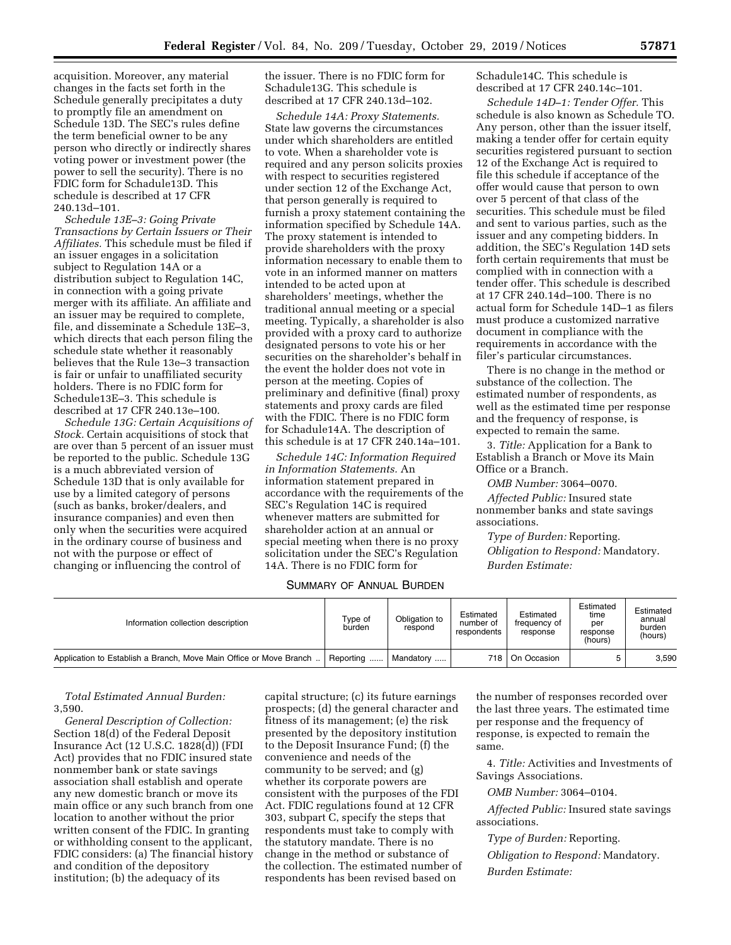acquisition. Moreover, any material changes in the facts set forth in the Schedule generally precipitates a duty to promptly file an amendment on Schedule 13D. The SEC's rules define the term beneficial owner to be any person who directly or indirectly shares voting power or investment power (the power to sell the security). There is no FDIC form for Schadule13D. This schedule is described at 17 CFR 240.13d–101.

*Schedule 13E–3: Going Private Transactions by Certain Issuers or Their Affiliates.* This schedule must be filed if an issuer engages in a solicitation subject to Regulation 14A or a distribution subject to Regulation 14C, in connection with a going private merger with its affiliate. An affiliate and an issuer may be required to complete, file, and disseminate a Schedule 13E–3, which directs that each person filing the schedule state whether it reasonably believes that the Rule 13e–3 transaction is fair or unfair to unaffiliated security holders. There is no FDIC form for Schedule13E–3. This schedule is described at 17 CFR 240.13e–100.

*Schedule 13G: Certain Acquisitions of Stock.* Certain acquisitions of stock that are over than 5 percent of an issuer must be reported to the public. Schedule 13G is a much abbreviated version of Schedule 13D that is only available for use by a limited category of persons (such as banks, broker/dealers, and insurance companies) and even then only when the securities were acquired in the ordinary course of business and not with the purpose or effect of changing or influencing the control of

the issuer. There is no FDIC form for Schadule13G. This schedule is described at 17 CFR 240.13d–102.

*Schedule 14A: Proxy Statements.*  State law governs the circumstances under which shareholders are entitled to vote. When a shareholder vote is required and any person solicits proxies with respect to securities registered under section 12 of the Exchange Act, that person generally is required to furnish a proxy statement containing the information specified by Schedule 14A. The proxy statement is intended to provide shareholders with the proxy information necessary to enable them to vote in an informed manner on matters intended to be acted upon at shareholders' meetings, whether the traditional annual meeting or a special meeting. Typically, a shareholder is also provided with a proxy card to authorize designated persons to vote his or her securities on the shareholder's behalf in the event the holder does not vote in person at the meeting. Copies of preliminary and definitive (final) proxy statements and proxy cards are filed with the FDIC. There is no FDIC form for Schadule14A. The description of this schedule is at 17 CFR 240.14a–101.

*Schedule 14C: Information Required in Information Statements.* An information statement prepared in accordance with the requirements of the SEC's Regulation 14C is required whenever matters are submitted for shareholder action at an annual or special meeting when there is no proxy solicitation under the SEC's Regulation 14A. There is no FDIC form for

# SUMMARY OF ANNUAL BURDEN

Schadule14C. This schedule is described at 17 CFR 240.14c–101.

*Schedule 14D–1: Tender Offer.* This schedule is also known as Schedule TO. Any person, other than the issuer itself, making a tender offer for certain equity securities registered pursuant to section 12 of the Exchange Act is required to file this schedule if acceptance of the offer would cause that person to own over 5 percent of that class of the securities. This schedule must be filed and sent to various parties, such as the issuer and any competing bidders. In addition, the SEC's Regulation 14D sets forth certain requirements that must be complied with in connection with a tender offer. This schedule is described at 17 CFR 240.14d–100. There is no actual form for Schedule 14D–1 as filers must produce a customized narrative document in compliance with the requirements in accordance with the filer's particular circumstances.

There is no change in the method or substance of the collection. The estimated number of respondents, as well as the estimated time per response and the frequency of response, is expected to remain the same.

3. *Title:* Application for a Bank to Establish a Branch or Move its Main Office or a Branch.

*OMB Number:* 3064–0070.

*Affected Public:* Insured state nonmember banks and state savings associations.

*Type of Burden:* Reporting. *Obligation to Respond:* Mandatory. *Burden Estimate:* 

| Information collection description                                 | Tvpe of<br>burden | Obligation to<br>respond | Estimated<br>number of<br>respondents | Estimated<br>treauency of<br>response | Estimated<br>time<br>per<br>response<br>(hours) | Estimated<br>annual<br>burden<br>(hours) |
|--------------------------------------------------------------------|-------------------|--------------------------|---------------------------------------|---------------------------------------|-------------------------------------------------|------------------------------------------|
| Application to Establish a Branch, Move Main Office or Move Branch | Reporting         | Mandatory                | 718                                   | On Occasion                           |                                                 | 3.590                                    |
|                                                                    |                   |                          |                                       |                                       |                                                 |                                          |

*Total Estimated Annual Burden:*  3,590.

*General Description of Collection:*  Section 18(d) of the Federal Deposit Insurance Act (12 U.S.C. 1828(d)) (FDI Act) provides that no FDIC insured state nonmember bank or state savings association shall establish and operate any new domestic branch or move its main office or any such branch from one location to another without the prior written consent of the FDIC. In granting or withholding consent to the applicant, FDIC considers: (a) The financial history and condition of the depository institution; (b) the adequacy of its

capital structure; (c) its future earnings prospects; (d) the general character and fitness of its management; (e) the risk presented by the depository institution to the Deposit Insurance Fund; (f) the convenience and needs of the community to be served; and (g) whether its corporate powers are consistent with the purposes of the FDI Act. FDIC regulations found at 12 CFR 303, subpart C, specify the steps that respondents must take to comply with the statutory mandate. There is no change in the method or substance of the collection. The estimated number of respondents has been revised based on

the number of responses recorded over the last three years. The estimated time per response and the frequency of response, is expected to remain the same.

4. *Title:* Activities and Investments of Savings Associations.

*OMB Number:* 3064–0104.

*Affected Public:* Insured state savings associations.

*Type of Burden:* Reporting.

*Obligation to Respond:* Mandatory.

*Burden Estimate:*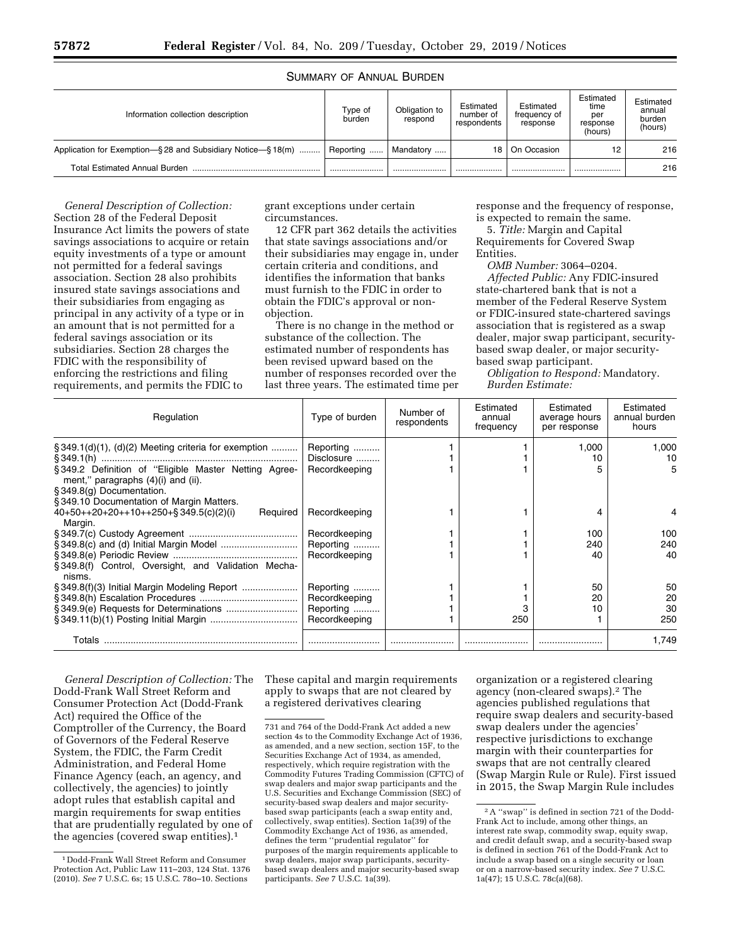# SUMMARY OF ANNUAL BURDEN

| Information collection description                         | Tvpe of<br>burden | Obligation to<br>respond | Estimated<br>number of<br>respondents | Estimated<br>freauency of<br>response | Estimated<br>time<br>per<br>response<br>(hours) | Estimated<br>annual<br>burden<br>(hours) |
|------------------------------------------------------------|-------------------|--------------------------|---------------------------------------|---------------------------------------|-------------------------------------------------|------------------------------------------|
| Application for Exemption-§28 and Subsidiary Notice-§18(m) | Reporting         | Mandatory                | 18                                    | On Occasion                           | 12                                              | 216                                      |
| <b>Total Estimated Annual Burden</b>                       |                   |                          |                                       |                                       |                                                 | 216                                      |

*General Description of Collection:*  Section 28 of the Federal Deposit Insurance Act limits the powers of state savings associations to acquire or retain equity investments of a type or amount not permitted for a federal savings association. Section 28 also prohibits insured state savings associations and their subsidiaries from engaging as principal in any activity of a type or in an amount that is not permitted for a federal savings association or its subsidiaries. Section 28 charges the FDIC with the responsibility of enforcing the restrictions and filing requirements, and permits the FDIC to

grant exceptions under certain circumstances.

12 CFR part 362 details the activities that state savings associations and/or their subsidiaries may engage in, under certain criteria and conditions, and identifies the information that banks must furnish to the FDIC in order to obtain the FDIC's approval or nonobjection.

There is no change in the method or substance of the collection. The estimated number of respondents has been revised upward based on the number of responses recorded over the last three years. The estimated time per response and the frequency of response, is expected to remain the same.

5. *Title:* Margin and Capital Requirements for Covered Swap Entities.

*OMB Number:* 3064–0204.

*Affected Public:* Any FDIC-insured state-chartered bank that is not a member of the Federal Reserve System or FDIC-insured state-chartered savings association that is registered as a swap dealer, major swap participant, securitybased swap dealer, or major securitybased swap participant.

*Obligation to Respond:* Mandatory. *Burden Estimate:* 

| Regulation                                                                                      | Type of burden | Number of<br>respondents | Estimated<br>annual<br>frequency | Estimated<br>average hours<br>per response | Estimated<br>annual burden<br>hours |
|-------------------------------------------------------------------------------------------------|----------------|--------------------------|----------------------------------|--------------------------------------------|-------------------------------------|
| $\S 349.1(d)(1)$ , (d)(2) Meeting criteria for exemption                                        | Reporting      |                          |                                  | 1.000                                      | 1.000                               |
|                                                                                                 | Disclosure     |                          |                                  | 10                                         | 10                                  |
| §349.2 Definition of "Eligible Master Netting Agree-<br>ment," paragraphs $(4)(i)$ and $(ii)$ . | Recordkeeping  |                          |                                  |                                            | 5                                   |
| § 349.8(g) Documentation.                                                                       |                |                          |                                  |                                            |                                     |
| §349.10 Documentation of Margin Matters.                                                        |                |                          |                                  |                                            |                                     |
| $40+50+20+20+10+250+§349.5(c)(2)(i)$<br>Required<br>Margin.                                     | Recordkeeping  |                          |                                  |                                            |                                     |
|                                                                                                 | Recordkeeping  |                          |                                  | 100                                        | 100                                 |
|                                                                                                 | Reporting      |                          |                                  | 240                                        | 240                                 |
|                                                                                                 | Recordkeeping  |                          |                                  | 40                                         | 40                                  |
| § 349.8(f) Control, Oversight, and Validation Mecha-<br>nisms.                                  |                |                          |                                  |                                            |                                     |
| § 349.8(f)(3) Initial Margin Modeling Report                                                    | Reporting      |                          |                                  | 50                                         | 50                                  |
|                                                                                                 | Recordkeeping  |                          |                                  | 20                                         | 20                                  |
|                                                                                                 | Reporting      |                          |                                  | 10                                         | 30                                  |
|                                                                                                 | Recordkeeping  |                          | 250                              |                                            | 250                                 |
| Totals                                                                                          |                |                          |                                  |                                            | 1.749                               |

*General Description of Collection:* The Dodd-Frank Wall Street Reform and Consumer Protection Act (Dodd-Frank Act) required the Office of the Comptroller of the Currency, the Board of Governors of the Federal Reserve System, the FDIC, the Farm Credit Administration, and Federal Home Finance Agency (each, an agency, and collectively, the agencies) to jointly adopt rules that establish capital and margin requirements for swap entities that are prudentially regulated by one of the agencies (covered swap entities).1

These capital and margin requirements apply to swaps that are not cleared by a registered derivatives clearing

organization or a registered clearing agency (non-cleared swaps).2 The agencies published regulations that require swap dealers and security-based swap dealers under the agencies' respective jurisdictions to exchange margin with their counterparties for swaps that are not centrally cleared (Swap Margin Rule or Rule). First issued in 2015, the Swap Margin Rule includes

<sup>1</sup> Dodd-Frank Wall Street Reform and Consumer Protection Act, Public Law 111–203, 124 Stat. 1376 (2010). *See* 7 U.S.C. 6s; 15 U.S.C. 78o–10. Sections

<sup>731</sup> and 764 of the Dodd-Frank Act added a new section 4s to the Commodity Exchange Act of 1936, as amended, and a new section, section 15F, to the Securities Exchange Act of 1934, as amended, respectively, which require registration with the Commodity Futures Trading Commission (CFTC) of swap dealers and major swap participants and the U.S. Securities and Exchange Commission (SEC) of security-based swap dealers and major securitybased swap participants (each a swap entity and, collectively, swap entities). Section 1a(39) of the Commodity Exchange Act of 1936, as amended, defines the term ''prudential regulator'' for purposes of the margin requirements applicable to swap dealers, major swap participants, securitybased swap dealers and major security-based swap participants. *See* 7 U.S.C. 1a(39).

<sup>2</sup>A ''swap'' is defined in section 721 of the Dodd-Frank Act to include, among other things, an interest rate swap, commodity swap, equity swap, and credit default swap, and a security-based swap is defined in section 761 of the Dodd-Frank Act to include a swap based on a single security or loan or on a narrow-based security index. *See* 7 U.S.C. 1a(47); 15 U.S.C. 78c(a)(68).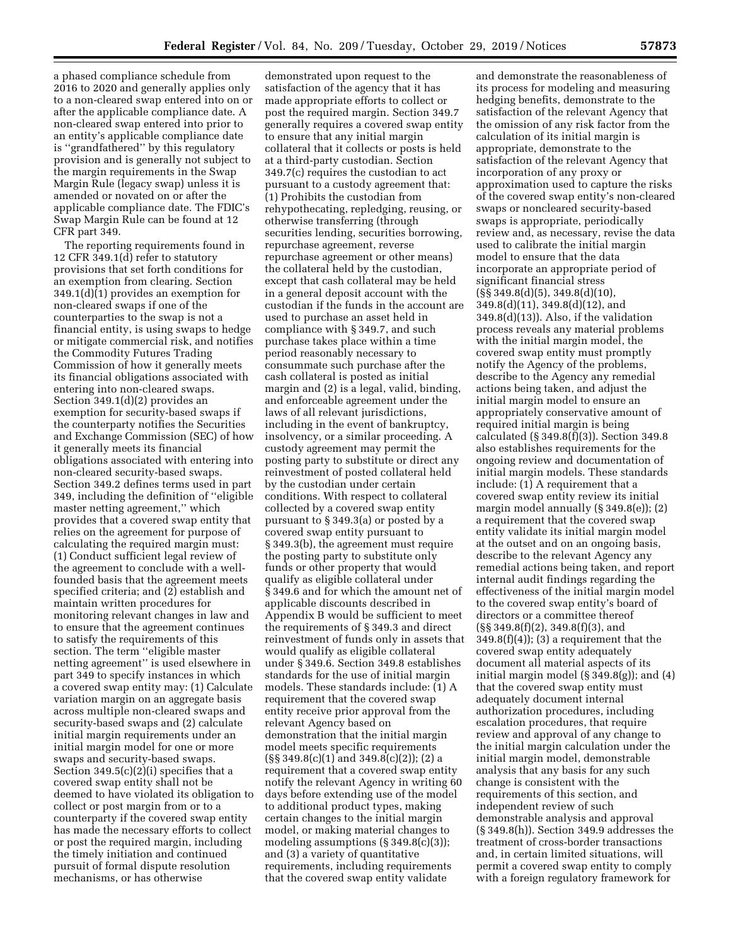a phased compliance schedule from 2016 to 2020 and generally applies only to a non-cleared swap entered into on or after the applicable compliance date. A non-cleared swap entered into prior to an entity's applicable compliance date is ''grandfathered'' by this regulatory provision and is generally not subject to the margin requirements in the Swap Margin Rule (legacy swap) unless it is amended or novated on or after the applicable compliance date. The FDIC's Swap Margin Rule can be found at 12 CFR part 349.

The reporting requirements found in 12 CFR 349.1(d) refer to statutory provisions that set forth conditions for an exemption from clearing. Section 349.1(d)(1) provides an exemption for non-cleared swaps if one of the counterparties to the swap is not a financial entity, is using swaps to hedge or mitigate commercial risk, and notifies the Commodity Futures Trading Commission of how it generally meets its financial obligations associated with entering into non-cleared swaps. Section 349.1(d)(2) provides an exemption for security-based swaps if the counterparty notifies the Securities and Exchange Commission (SEC) of how it generally meets its financial obligations associated with entering into non-cleared security-based swaps. Section 349.2 defines terms used in part 349, including the definition of ''eligible master netting agreement,'' which provides that a covered swap entity that relies on the agreement for purpose of calculating the required margin must: (1) Conduct sufficient legal review of the agreement to conclude with a wellfounded basis that the agreement meets specified criteria; and (2) establish and maintain written procedures for monitoring relevant changes in law and to ensure that the agreement continues to satisfy the requirements of this section. The term ''eligible master netting agreement'' is used elsewhere in part 349 to specify instances in which a covered swap entity may: (1) Calculate variation margin on an aggregate basis across multiple non-cleared swaps and security-based swaps and (2) calculate initial margin requirements under an initial margin model for one or more swaps and security-based swaps. Section 349.5(c)(2)(i) specifies that a covered swap entity shall not be deemed to have violated its obligation to collect or post margin from or to a counterparty if the covered swap entity has made the necessary efforts to collect or post the required margin, including the timely initiation and continued pursuit of formal dispute resolution mechanisms, or has otherwise

demonstrated upon request to the satisfaction of the agency that it has made appropriate efforts to collect or post the required margin. Section 349.7 generally requires a covered swap entity to ensure that any initial margin collateral that it collects or posts is held at a third-party custodian. Section 349.7(c) requires the custodian to act pursuant to a custody agreement that: (1) Prohibits the custodian from rehypothecating, repledging, reusing, or otherwise transferring (through securities lending, securities borrowing, repurchase agreement, reverse repurchase agreement or other means) the collateral held by the custodian, except that cash collateral may be held in a general deposit account with the custodian if the funds in the account are used to purchase an asset held in compliance with § 349.7, and such purchase takes place within a time period reasonably necessary to consummate such purchase after the cash collateral is posted as initial margin and (2) is a legal, valid, binding, and enforceable agreement under the laws of all relevant jurisdictions, including in the event of bankruptcy, insolvency, or a similar proceeding. A custody agreement may permit the posting party to substitute or direct any reinvestment of posted collateral held by the custodian under certain conditions. With respect to collateral collected by a covered swap entity pursuant to § 349.3(a) or posted by a covered swap entity pursuant to § 349.3(b), the agreement must require the posting party to substitute only funds or other property that would qualify as eligible collateral under § 349.6 and for which the amount net of applicable discounts described in Appendix B would be sufficient to meet the requirements of § 349.3 and direct reinvestment of funds only in assets that would qualify as eligible collateral under § 349.6. Section 349.8 establishes standards for the use of initial margin models. These standards include: (1) A requirement that the covered swap entity receive prior approval from the relevant Agency based on demonstration that the initial margin model meets specific requirements  $(S\ S\ 349.8(c)(1)$  and  $349.8(c)(2)$ ; (2) a requirement that a covered swap entity notify the relevant Agency in writing 60 days before extending use of the model to additional product types, making certain changes to the initial margin model, or making material changes to modeling assumptions (§ 349.8(c)(3)); and (3) a variety of quantitative requirements, including requirements that the covered swap entity validate

and demonstrate the reasonableness of its process for modeling and measuring hedging benefits, demonstrate to the satisfaction of the relevant Agency that the omission of any risk factor from the calculation of its initial margin is appropriate, demonstrate to the satisfaction of the relevant Agency that incorporation of any proxy or approximation used to capture the risks of the covered swap entity's non-cleared swaps or noncleared security-based swaps is appropriate, periodically review and, as necessary, revise the data used to calibrate the initial margin model to ensure that the data incorporate an appropriate period of significant financial stress  $(S\$  349.8(d)(5), 349.8(d)(10), 349.8(d)(11), 349.8(d)(12), and 349.8(d)(13)). Also, if the validation process reveals any material problems with the initial margin model, the covered swap entity must promptly notify the Agency of the problems, describe to the Agency any remedial actions being taken, and adjust the initial margin model to ensure an appropriately conservative amount of required initial margin is being calculated (§ 349.8(f)(3)). Section 349.8 also establishes requirements for the ongoing review and documentation of initial margin models. These standards include: (1) A requirement that a covered swap entity review its initial margin model annually (§ 349.8(e)); (2) a requirement that the covered swap entity validate its initial margin model at the outset and on an ongoing basis, describe to the relevant Agency any remedial actions being taken, and report internal audit findings regarding the effectiveness of the initial margin model to the covered swap entity's board of directors or a committee thereof (§§ 349.8(f)(2), 349.8(f)(3), and  $349.8(f)(4)$ ; (3) a requirement that the covered swap entity adequately document all material aspects of its initial margin model (§ 349.8(g)); and (4) that the covered swap entity must adequately document internal authorization procedures, including escalation procedures, that require review and approval of any change to the initial margin calculation under the initial margin model, demonstrable analysis that any basis for any such change is consistent with the requirements of this section, and independent review of such demonstrable analysis and approval (§ 349.8(h)). Section 349.9 addresses the treatment of cross-border transactions and, in certain limited situations, will permit a covered swap entity to comply with a foreign regulatory framework for